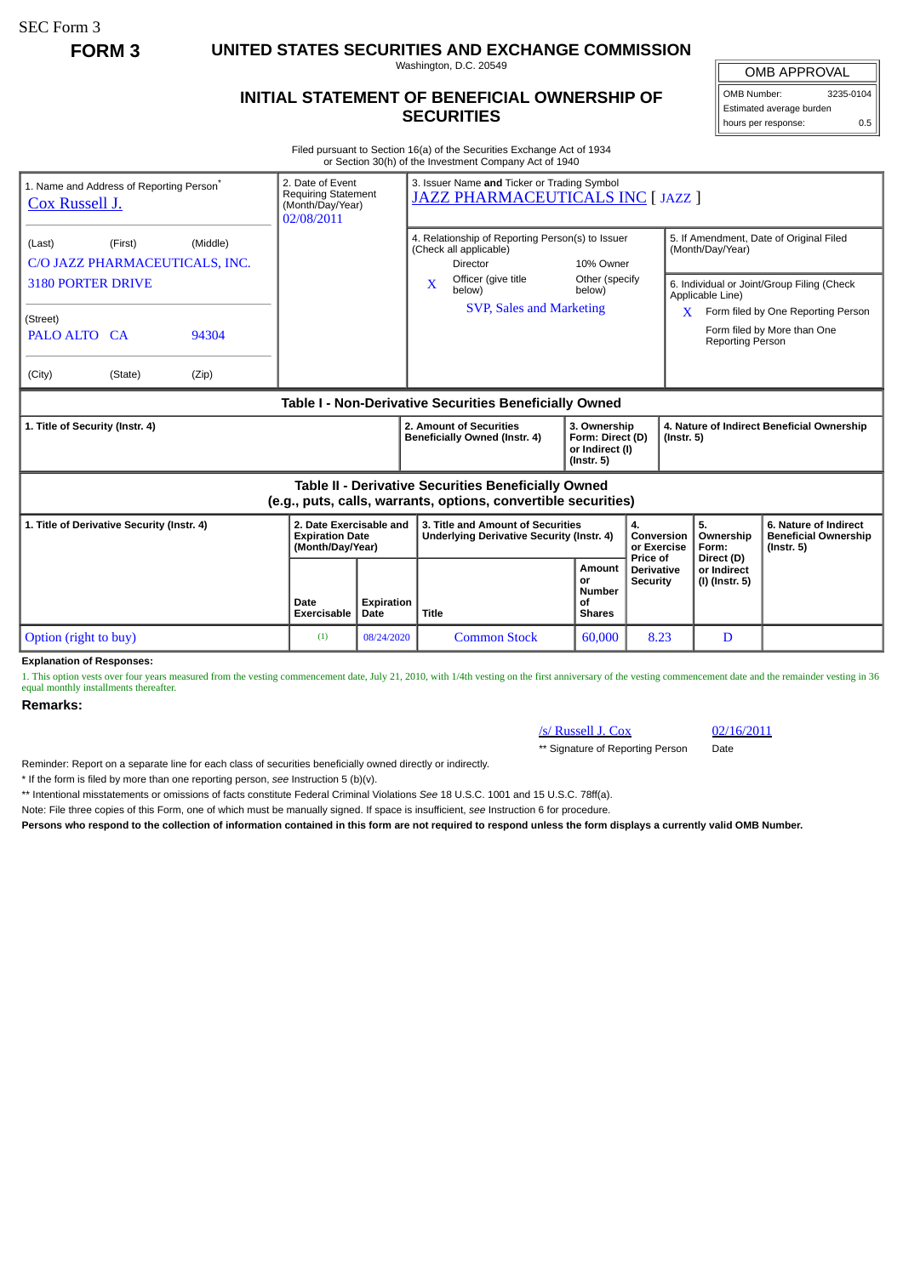SEC Form 3

**FORM 3 UNITED STATES SECURITIES AND EXCHANGE COMMISSION**

Washington, D.C. 20549

## **INITIAL STATEMENT OF BENEFICIAL OWNERSHIP OF SECURITIES**

OMB APPROVAL OMB Number: 3235-0104

Estimated average burden hours per response: 0.5

Filed pursuant to Section 16(a) of the Securities Exchange Act of 1934 or Section 30(h) of the Investment Company Act of 1940

| 1. Name and Address of Reporting Person <sup>®</sup><br><b>Cox Russell J.</b>                                                | 2. Date of Event<br><b>Requiring Statement</b><br>(Month/Day/Year)<br>02/08/2011 |                    | 3. Issuer Name and Ticker or Trading Symbol<br>JAZZ PHARMACEUTICALS INC [ JAZZ ]                                                    |                                                      |                                                                |                                        |                                                                          |
|------------------------------------------------------------------------------------------------------------------------------|----------------------------------------------------------------------------------|--------------------|-------------------------------------------------------------------------------------------------------------------------------------|------------------------------------------------------|----------------------------------------------------------------|----------------------------------------|--------------------------------------------------------------------------|
| (First)<br>(Middle)<br>(Last)<br>C/O JAZZ PHARMACEUTICALS, INC.                                                              |                                                                                  |                    | 4. Relationship of Reporting Person(s) to Issuer<br>(Check all applicable)<br>Director                                              | 10% Owner                                            |                                                                | (Month/Day/Year)                       | 5. If Amendment, Date of Original Filed                                  |
| <b>3180 PORTER DRIVE</b>                                                                                                     |                                                                                  |                    | Officer (give title<br>$\mathbf x$<br>below)<br><b>SVP, Sales and Marketing</b>                                                     | Other (specify<br>below)                             |                                                                | Applicable Line)                       | 6. Individual or Joint/Group Filing (Check                               |
| (Street)<br>PALO ALTO CA<br>94304                                                                                            |                                                                                  |                    |                                                                                                                                     |                                                      |                                                                | X<br><b>Reporting Person</b>           | Form filed by One Reporting Person<br>Form filed by More than One        |
| (City)<br>(State)<br>(Zip)                                                                                                   |                                                                                  |                    |                                                                                                                                     |                                                      |                                                                |                                        |                                                                          |
| Table I - Non-Derivative Securities Beneficially Owned                                                                       |                                                                                  |                    |                                                                                                                                     |                                                      |                                                                |                                        |                                                                          |
| 1. Title of Security (Instr. 4)                                                                                              |                                                                                  |                    | 2. Amount of Securities<br>3. Ownership<br>Beneficially Owned (Instr. 4)<br>Form: Direct (D)<br>or Indirect (I)<br>$($ lnstr. 5 $)$ |                                                      | 4. Nature of Indirect Beneficial Ownership<br>$($ lnstr. 5 $)$ |                                        |                                                                          |
| <b>Table II - Derivative Securities Beneficially Owned</b><br>(e.g., puts, calls, warrants, options, convertible securities) |                                                                                  |                    |                                                                                                                                     |                                                      |                                                                |                                        |                                                                          |
| 1. Title of Derivative Security (Instr. 4)                                                                                   | 2. Date Exercisable and<br><b>Expiration Date</b><br>(Month/Day/Year)            |                    | 3. Title and Amount of Securities<br><b>Underlying Derivative Security (Instr. 4)</b>                                               |                                                      | 4.<br>Conversion<br>or Exercise<br>Price of                    | 5.<br>Ownership<br>Form:<br>Direct (D) | 6. Nature of Indirect<br><b>Beneficial Ownership</b><br>$($ lnstr. 5 $)$ |
|                                                                                                                              | Date<br><b>Exercisable</b>                                                       | Expiration<br>Date | <b>Title</b>                                                                                                                        | <b>Amount</b><br>or<br>Number<br>οf<br><b>Shares</b> | <b>Derivative</b><br><b>Security</b>                           | or Indirect<br>(I) (Instr. 5)          |                                                                          |
| Option (right to buy)                                                                                                        | (1)                                                                              | 08/24/2020         | <b>Common Stock</b>                                                                                                                 | 60,000                                               | 8.23                                                           | D                                      |                                                                          |

**Explanation of Responses:**

1. This option vests over four years measured from the vesting commencement date, July 21, 2010, with 1/4th vesting on the first anniversary of the vesting commencement date and the remainder vesting in 36 equal monthly installments thereafter.

**Remarks:**

/s/ Russell J. Cox 02/16/2011

\*\* Signature of Reporting Person Date

Reminder: Report on a separate line for each class of securities beneficially owned directly or indirectly.

\* If the form is filed by more than one reporting person, *see* Instruction 5 (b)(v).

\*\* Intentional misstatements or omissions of facts constitute Federal Criminal Violations *See* 18 U.S.C. 1001 and 15 U.S.C. 78ff(a).

Note: File three copies of this Form, one of which must be manually signed. If space is insufficient, *see* Instruction 6 for procedure.

**Persons who respond to the collection of information contained in this form are not required to respond unless the form displays a currently valid OMB Number.**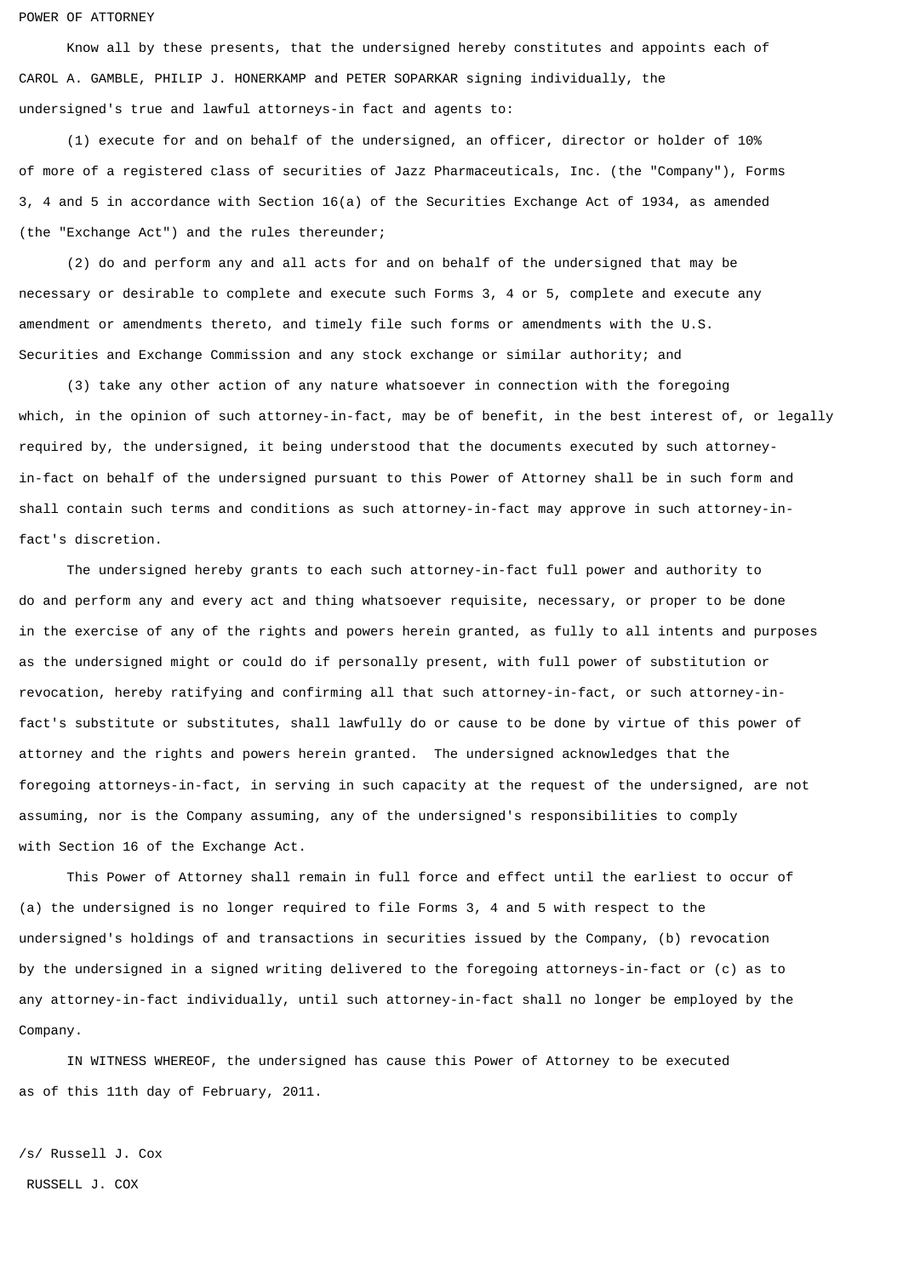## POWER OF ATTORNEY

 Know all by these presents, that the undersigned hereby constitutes and appoints each of CAROL A. GAMBLE, PHILIP J. HONERKAMP and PETER SOPARKAR signing individually, the undersigned's true and lawful attorneys-in fact and agents to:

 (1) execute for and on behalf of the undersigned, an officer, director or holder of 10% of more of a registered class of securities of Jazz Pharmaceuticals, Inc. (the "Company"), Forms 3, 4 and 5 in accordance with Section 16(a) of the Securities Exchange Act of 1934, as amended (the "Exchange Act") and the rules thereunder;

 (2) do and perform any and all acts for and on behalf of the undersigned that may be necessary or desirable to complete and execute such Forms 3, 4 or 5, complete and execute any amendment or amendments thereto, and timely file such forms or amendments with the U.S. Securities and Exchange Commission and any stock exchange or similar authority; and

 (3) take any other action of any nature whatsoever in connection with the foregoing which, in the opinion of such attorney-in-fact, may be of benefit, in the best interest of, or legally required by, the undersigned, it being understood that the documents executed by such attorneyin-fact on behalf of the undersigned pursuant to this Power of Attorney shall be in such form and shall contain such terms and conditions as such attorney-in-fact may approve in such attorney-infact's discretion.

 The undersigned hereby grants to each such attorney-in-fact full power and authority to do and perform any and every act and thing whatsoever requisite, necessary, or proper to be done in the exercise of any of the rights and powers herein granted, as fully to all intents and purposes as the undersigned might or could do if personally present, with full power of substitution or revocation, hereby ratifying and confirming all that such attorney-in-fact, or such attorney-infact's substitute or substitutes, shall lawfully do or cause to be done by virtue of this power of attorney and the rights and powers herein granted. The undersigned acknowledges that the foregoing attorneys-in-fact, in serving in such capacity at the request of the undersigned, are not assuming, nor is the Company assuming, any of the undersigned's responsibilities to comply with Section 16 of the Exchange Act.

 This Power of Attorney shall remain in full force and effect until the earliest to occur of (a) the undersigned is no longer required to file Forms 3, 4 and 5 with respect to the undersigned's holdings of and transactions in securities issued by the Company, (b) revocation by the undersigned in a signed writing delivered to the foregoing attorneys-in-fact or (c) as to any attorney-in-fact individually, until such attorney-in-fact shall no longer be employed by the Company.

 IN WITNESS WHEREOF, the undersigned has cause this Power of Attorney to be executed as of this 11th day of February, 2011.

/s/ Russell J. Cox RUSSELL J. COX